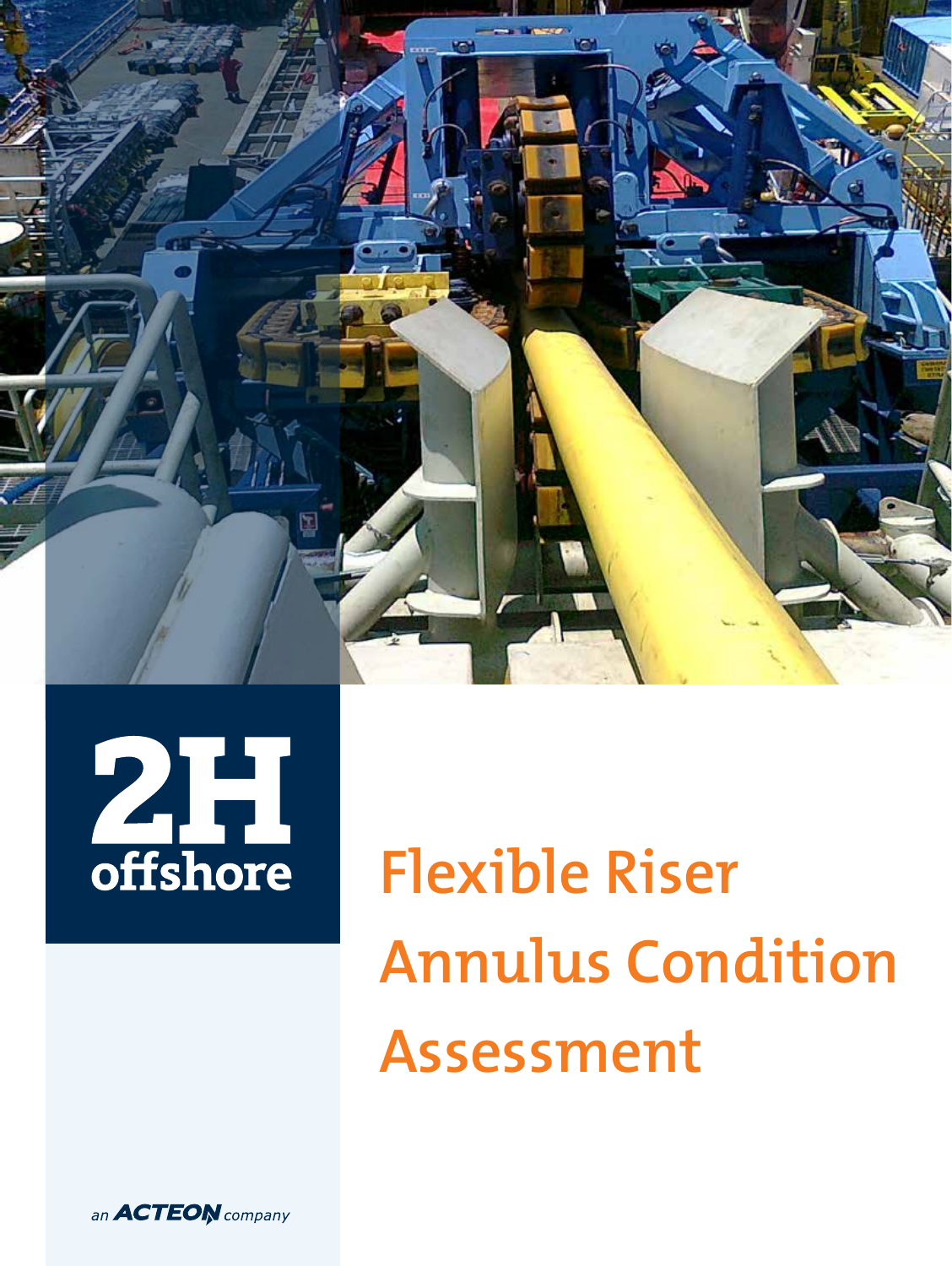



**Flexible Riser Annulus Condition Assessment**

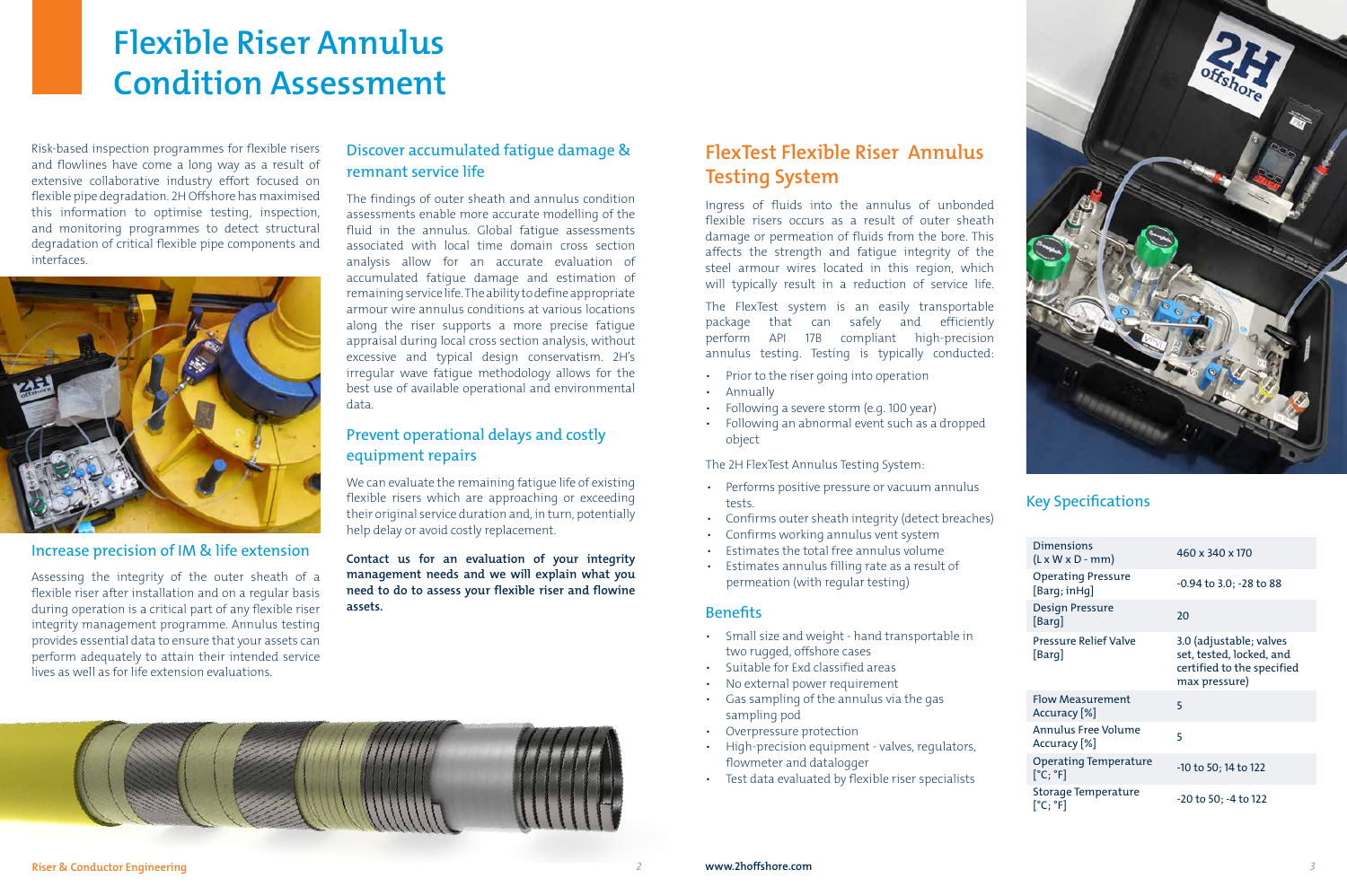### Key Specifications

# **Flexible Riser Annulus Condition Assessment**

Risk-based inspection programmes for flexible risers and flowlines have come a long way as a result of extensive collaborative industry effort focused on flexible pipe degradation. 2H Offshore has maximised this information to optimise testing, inspection, and monitoring programmes to detect structural degradation of critical flexible pipe components and interfaces.



### Increase precision of IM & life extension

Assessing the integrity of the outer sheath of a flexible riser after installation and on a regular basis during operation is a critical part of any flexible riser integrity management programme. Annulus testing provides essential data to ensure that your assets can perform adequately to attain their intended service lives as well as for life extension evaluations.

## **FlexTest Flexible Riser Annulus Testing System**

Ingress of fluids into the annulus of unbonded flexible risers occurs as a result of outer sheath damage or permeation of fluids from the bore. This affects the strength and fatigue integrity of the steel armour wires located in this region, which will typically result in a reduction of service life.

The FlexTest system is an easily transportable package that can safely and efficiently perform API 17B compliant high-precision annulus testing. Testing is typically conducted:

- Prior to the riser going into operation
- Annually
- Following a severe storm (e.g. 100 year)
- Following an abnormal event such as a dropped object

The 2H FlexTest Annulus Testing System:

- Performs positive pressure or vacuum annulus tests.
- Confirms outer sheath integrity (detect breaches)
- Confirms working annulus vent system
- Estimates the total free annulus volume
- Estimates annulus filling rate as a result of permeation (with regular testing)

### **Benefits**

- Small size and weight hand transportable in two rugged, offshore cases
- Suitable for Exd classified areas
- No external power requirement
- Gas sampling of the annulus via the gas sampling pod
- Overpressure protection
- High-precision equipment valves, regulators, flowmeter and datalogger
- Test data evaluated by flexible riser specialists

### Discover accumulated fatigue damage & remnant service life

The findings of outer sheath and annulus condition assessments enable more accurate modelling of the fluid in the annulus. Global fatigue assessments associated with local time domain cross section analysis allow for an accurate evaluation of accumulated fatigue damage and estimation of remaining service life. The ability to define appropriate armour wire annulus conditions at various locations along the riser supports a more precise fatigue appraisal during local cross section analysis, without excessive and typical design conservatism. 2H's irregular wave fatigue methodology allows for the best use of available operational and environmental data.

### Prevent operational delays and costly equipment repairs

We can evaluate the remaining fatigue life of existing flexible risers which are approaching or exceeding their original service duration and, in turn, potentially help delay or avoid costly replacement.

**Contact us for an evaluation of your integrity management needs and we will explain what you need to do to assess your flexible riser and flowine assets.**





| <b>Dimensions</b><br>$(L \times W \times D - mm)$         | 460 x 340 x 170                                                                                    |
|-----------------------------------------------------------|----------------------------------------------------------------------------------------------------|
| <b>Operating Pressure</b><br>[Barq;inHq]                  | -0.94 to 3.0; -28 to 88                                                                            |
| Design Pressure<br>[Barg]                                 | 20                                                                                                 |
| <b>Pressure Relief Valve</b><br>[Barg]                    | 3.0 (adjustable; valves<br>set, tested, locked, and<br>certified to the specified<br>max pressure) |
| Flow Measurement<br>Accuracy [%]                          | 5                                                                                                  |
| Annulus Free Volume<br>Accuracy [%]                       | 5                                                                                                  |
| <b>Operating Temperature</b><br>$[^{\circ}C;{}^{\circ}F]$ | -10 to 50; 14 to 122                                                                               |
| Storage Temperature<br>$[^{\circ}C;{}^{\circ}F]$          | -20 to 50; -4 to 122                                                                               |